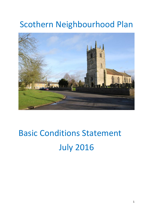## Scothern Neighbourhood Plan



# Basic Conditions Statement July 2016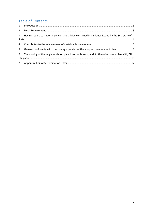#### Table of Contents

| $2^{\circ}$    |                                                                                                |  |
|----------------|------------------------------------------------------------------------------------------------|--|
| 3 <sup>7</sup> | Having regard to national policies and advice contained in guidance issued by the Secretary of |  |
| $4 \quad$      |                                                                                                |  |
| 5 <sup>1</sup> | General conformity with the strategic policies of the adopted development plan  8              |  |
| 6              | The making of the neighbourhood plan does not breach, and it otherwise compatible with, EU     |  |
|                |                                                                                                |  |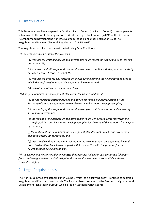#### <span id="page-2-0"></span>1 Introduction

This Statement has been prepared by Scothern Parish Council (the Parish Council) to accompany its submission to the local planning authority, West Lindsey District Council (WLDC) of the Scothern Neighbourhood Development Plan (the Neighbourhood Plan) under Regulation 15 of The Neighbourhood Planning (General) Regulations 2012 SI No 637.

The Neighbourhood Plan must meet the following Basic Conditions:

*(1) The examiner must consider the following—*

*(a) whether the draft neighbourhood development plan meets the basic conditions (see subparagraph (2)),* 

*(b) whether the draft neighbourhood development plan complies with the provision made by or under sections 61E(2), 61J and 61L,* 

*(d) whether the area for any referendum should extend beyond the neighbourhood area to which the draft neighbourhood development plan relates, and* 

*(e) such other matters as may be prescribed.* 

*(2) A draft neighbourhood development plan meets the basic conditions if—*

*(a) having regard to national policies and advice contained in guidance issued by the Secretary of State, it is appropriate to make the neighbourhood development plan,* 

*(d) the making of the neighbourhood development plan contributes to the achievement of sustainable development,* 

*(e) the making of the neighbourhood development plan is in general conformity with the strategic policies contained in the development plan for the area of the authority (or any part of that area),* 

*(f) the making of the neighbourhood development plan does not breach, and is otherwise compatible with, EU obligations, and* 

*(g) prescribed conditions are met in relation to the neighbourhood development plan and prescribed matters have been complied with in connection with the proposal for the neighbourhood development plan.* 

*(6) The examiner is not to consider any matter that does not fall within sub-paragraph (1) (apart from considering whether the draft neighbourhood development plan is compatible with the Convention rights).*

#### <span id="page-2-1"></span>2 Legal Requirements

The Plan is submitted by Scothern Parish Council, which, as a qualifying body, is entitled to submit a Neighbourhood Plan for its own parish. The Plan has been prepared by the Scothern Neighbourhood Development Plan Steering Group, which is led by Scothern Parish Council.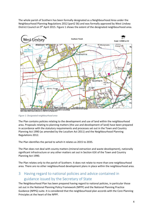The whole parish of Scothern has been formally designated as a Neighbourhood Area under the Neighbourhood Planning Regulations 2012 (part2 S6) and was formally approved by West Lindsey District Council on 9<sup>th</sup> April 2015. Figure 1 shows the extent of the designated neighbourhood area.



*Figure 1: Designated neighbourhood area*

The Plan contains policies relating to the development and use of land within the neighbourhood area. Proposals relating to planning matters (the use and development of land) have been prepared in accordance with the statutory requirements and processes set out in the Town and Country Planning Act 1990 (as amended by the Localism Act 2011) and the Neighbourhood Planning Regulations 2012.

The Plan identifies the period to which it relates as 2015 to 2035.

The Plan does not deal with county matters (mineral extraction and waste development), nationally significant infrastructure or any other matters set out in Section 61K of the Town and Country Planning Act 1990.

The Plan relates only to the parish of Scothern. It does not relate to more than one neighbourhood area. There are no other neighbourhood development plans in place within the neighbourhood area.

#### <span id="page-3-0"></span>3 Having regard to national policies and advice contained in guidance issued by the Secretary of State

The Neighbourhood Plan has been prepared having regard to national policies, in particular those set out in the National Planning Policy Framework (NPPF) and the National Planning Practice Guidance (NPPG) suite. It is considered that the neighbourhood plan accords with the Core Planning Principles at the heart of the NPPF.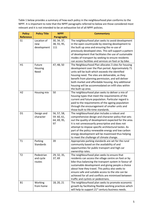Table 1 below provides a summary of how each policy in the neighbourhood plan conforms to the NPPF. It is important to note that the NPPF paragraphs referred to below are those considered most relevant and it is not intended to be an exhaustive list of all NPPF policies.

| <b>Policy</b>        | <b>Policy Title</b>                         | <b>NPPF</b>                                     | <b>Commentary</b>                                                                                                                                                                                                                                                                                                                                                                                                                                   |  |
|----------------------|---------------------------------------------|-------------------------------------------------|-----------------------------------------------------------------------------------------------------------------------------------------------------------------------------------------------------------------------------------------------------------------------------------------------------------------------------------------------------------------------------------------------------------------------------------------------------|--|
| <b>Reference</b>     |                                             | <b>Paragraphs</b>                               |                                                                                                                                                                                                                                                                                                                                                                                                                                                     |  |
| S <sub>1</sub><br>H1 | Location of<br>new<br>development<br>Future | 30, 34, 37,<br>38, 55, 95,<br>111<br>47, 48, 50 | The neighbourhood plan seeks to avoid development<br>in the open countryside by steering development to<br>the built up area and ensuring the re-use of<br>previously developed sites. This will support a pattern<br>of development that facilitates the use of sustainable<br>modes of transport by seeking to ensure residents<br>can access facilities and services on foot or by bike.<br>The Neighbourhood Plan allocates 3 sites for housing |  |
|                      | Housing<br>Need                             |                                                 | development over the Plan period. Approximately 71<br>units will be built which exceeds the identified<br>housing need. The sites are deliverable, as they<br>benefit from planning permission, and will deliver<br>both market and affordable housing. Any additional<br>housing will be accommodated on infill sites within<br>the built-up area.                                                                                                 |  |
| H <sub>2</sub>       | Housing mix                                 | 50                                              | The neighbourhood plan seeks to deliver a mix of<br>housing types that meet the requirements of the<br>current and future population. Particular regard is<br>paid to the requirements of the ageing population<br>through the encouragement of smaller units and<br>those built to life-time standards.                                                                                                                                            |  |
| D <sub>1</sub>       | Design and<br>character                     | 56, 57, 58,<br>59.60,61,<br>64, 69, 95,<br>97   | The neighbourhood plan includes a robust and<br>comprehensive design and character policy that sets<br>out the quality of development expected for the area.<br>It is not unnecessarily prescriptive and does not<br>attempt to impose specific architectural tastes. As<br>part of the policy renewable energy and low carbon<br>energy development will be maximised thus helping<br>to meet the challenge of climate change.                     |  |
| T1                   | Parking<br><b>Standards</b>                 | 39                                              | Appropriate parking standards are set for the rural<br>community based on the availability of and<br>opportunities for public transport and high car<br>ownership rates.                                                                                                                                                                                                                                                                            |  |
| T <sub>2</sub>       | Pedestrian<br>and cycle<br>routes           | 29, 32, 35,<br>37,69                            | The neighbourhood plan seeks to ensure that<br>residents can access the village centre on foot or by<br>bike thus balancing the transport system in favour of<br>sustainable development and giving people a choice<br>about how they travel. This policy also seeks to<br>ensure safe and suitable access to the site can be<br>achieved for all and conflicts are minimised between<br>traffic and cyclists or pedestrians.                       |  |
| <b>B1</b>            | Working<br>from home                        | 18, 20, 21                                      | The neighbourhood plan seeks to promote economic<br>growth by facilitating flexible working practices which<br>will help to support 21 <sup>st</sup> century business needs.                                                                                                                                                                                                                                                                        |  |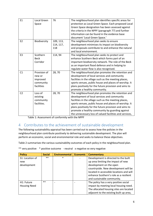| E1             | Local Green<br>Space                                          | 76                            | The neighbourhood plan identifies specific areas for<br>protection as Local Green Space. Each proposed Local<br>Green Space designation has been assessed against<br>the criteria in the NPPF (paragraph 77) and further<br>information can be found in the evidence base<br>document 'Local Green Space.'                                                                                |
|----------------|---------------------------------------------------------------|-------------------------------|-------------------------------------------------------------------------------------------------------------------------------------------------------------------------------------------------------------------------------------------------------------------------------------------------------------------------------------------------------------------------------------------|
| E <sub>2</sub> | Biodiversity                                                  | 109, 113,<br>114, 117,<br>118 | The neighbourhood plan seeks to ensure<br>development minimises its impact on biodiversity<br>and proposals contribute to and enhance the natural<br>and local environment.                                                                                                                                                                                                               |
| E <sub>3</sub> | Scothern<br><b>Beck</b><br>Corridor                           | 114,94                        | The neighbourhood plan seeks to protect and<br>enhance Scothern Beck which forms part of an<br>important biodiversity network. The role of the Beck<br>as an important flood defence and in helping to<br>regulate water flow is also recognised.                                                                                                                                         |
| C1             | Provision of<br>new or<br>improved<br>community<br>facilities | 28,70                         | The neighbourhood plan promotes the retention and<br>development of local services and community<br>facilities in the village such as the meeting places,<br>sports venues, public house and places of worship. It<br>plans positively for the future provision and aims to<br>promote a healthy community.                                                                               |
| C <sub>2</sub> | Loss of<br>existing<br>community<br>facilities.               | 28,70                         | The neighbourhood plan promotes the retention and<br>development of local services and community<br>facilities in the village such as the meeting places,<br>sports venues, public house and places of worship. It<br>plans positively for the future provision and aims to<br>promote a healthy community by guarding against<br>the unnecessary loss of valued facilities and services, |

Table 1: Assessment of conformity with the NPPF

#### <span id="page-5-0"></span>4 Contributes to the achievement of sustainable development

The following sustainability appraisal has been carried out to assess how the policies in the neighbourhood plan contribute positively to delivering sustainable development. The plan will perform an economic, social and environmental role and seeks to balance these objectives.

Table 2 summarises the various sustainability outcomes of each policy in the neighbourhood plan.

| <b>Policy</b>                                  | <b>Social</b> | <b>Environmental</b> | <b>Economic</b> | <b>Commentary</b>                                                                                                                                                                                                                                                 |
|------------------------------------------------|---------------|----------------------|-----------------|-------------------------------------------------------------------------------------------------------------------------------------------------------------------------------------------------------------------------------------------------------------------|
| S1: Location of<br>new<br>development          | $***$         | $\ast$               |                 | Development is directed to the built<br>up area limiting the impact of new<br>development on the open<br>countryside. New development will be<br>located in accessible locations and will<br>enhance Scothern's role as a resilient<br>and sustainable community. |
| H <sub>1</sub> : Future<br><b>Housing Need</b> | $***$         |                      |                 | The policy has a very positive social<br>impact by meeting local housing need.<br>The allocated housing sites are located<br>adjacent to the existing built up area,                                                                                              |

\*\* very positive \* positive outcome - neutral x negative xx very negative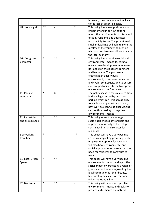|                    |        |            |        | however, their development will lead    |
|--------------------|--------|------------|--------|-----------------------------------------|
|                    |        |            |        | to the loss of greenfield land.         |
| H2: Housing Mix    | $**$   |            | $\ast$ | This policy has a very positive social  |
|                    |        |            |        | impact by ensuring new housing          |
|                    |        |            |        | meets the requirements of future and    |
|                    |        |            |        | existing residents and addresses        |
|                    |        |            |        | affordability issues. The provision of  |
|                    |        |            |        | smaller dwellings will help to stem the |
|                    |        |            |        | outflow of the younger population       |
|                    |        |            |        | who can positively contribute towards   |
|                    |        |            |        | the local economy.                      |
| D1: Design and     | $\ast$ | $***$      |        | This policy has a positive social and   |
| Character          |        |            |        | environmental impact. It seeks to       |
|                    |        |            |        | ensure new development minimises        |
|                    |        |            |        | its impact on the local environment     |
|                    |        |            |        | and landscape. The plan seeks to        |
|                    |        |            |        | create a high quality built             |
|                    |        |            |        | environment, to improve pedestrian      |
|                    |        |            |        | and cyclist connectivity and to ensure  |
|                    |        |            |        | every opportunity is taken to improve   |
|                    |        |            |        | environmental performance.              |
| T1: Parking        | $\ast$ | X          | $\ast$ | The policy seeks to reduce congestion   |
| standards          |        |            |        | in the village caused by on-street      |
|                    |        |            |        | parking which can limit accessibility   |
|                    |        |            |        | for cyclists and pedestrians. It can,   |
|                    |        |            |        | however, be seen to be encouraging      |
|                    |        |            |        | car use thus leading to negative        |
|                    |        |            |        | environmental impact.                   |
| T2: Pedestrian     | $\ast$ | $\ast\ast$ |        | This policy seeks to encourage          |
| and cycle routes   |        |            |        | sustainable modes of transport and      |
|                    |        |            |        | improve accessibility to the village    |
|                    |        |            |        | centre, facilities and services for     |
|                    |        |            |        | residents.                              |
| <b>B1: Working</b> | $\ast$ | $\ast$     | $***$  | This policy will have a very positive   |
| from home          |        |            |        | economic impact by providing flexible   |
|                    |        |            |        | employment options for residents. It    |
|                    |        |            |        | will also have environmental and        |
|                    |        |            |        | social improvements by reducing the     |
|                    |        |            |        | need for residents to commute to        |
|                    |        |            |        | work.                                   |
| E1: Local Green    | $\ast$ | $***$      |        | This policy will have a very positive   |
| Space              |        |            |        | environmental impact and a positive     |
|                    |        |            |        | social impact by protecting a range of  |
|                    |        |            |        | green spaces that are enjoyed by the    |
|                    |        |            |        | local community for their beauty,       |
|                    |        |            |        | historical significance, recreational   |
|                    |        |            |        | value and tranquillity.                 |
| E2: Biodiversity   | $\ast$ | $***$      |        | This policy will have a very positive   |
|                    |        |            |        | environmental impact and seeks to       |
|                    |        |            |        | protect and enhance the natural         |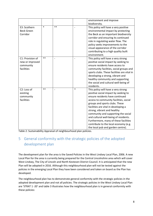|                                                                 |        |      |        | environment and improve                                                                                                                                                                                                                                                                                                                                                                                                                                                  |
|-----------------------------------------------------------------|--------|------|--------|--------------------------------------------------------------------------------------------------------------------------------------------------------------------------------------------------------------------------------------------------------------------------------------------------------------------------------------------------------------------------------------------------------------------------------------------------------------------------|
|                                                                 |        |      |        | biodiversity.                                                                                                                                                                                                                                                                                                                                                                                                                                                            |
| E3: Scothern<br><b>Beck Green</b><br>Corridor                   | $\ast$ | $**$ |        | This policy will have a very positive<br>environmental impact by protecting<br>the Beck as an important biodiversity<br>corridor and ensuring its continued<br>role in regulating water flow. The<br>policy seeks improvements to the<br>visual appearance of the corridor<br>contributing to a high quality built<br>environment.                                                                                                                                       |
| C1: Provision of<br>new or improved<br>community<br>facilities  | $**$   |      |        | This policy will have a very strong<br>positive social impact by seeking to<br>ensure residents have access to<br>community facilities, social groups and<br>sports clubs. These facilities are vital in<br>developing a strong, vibrant and<br>healthy community and supporting<br>the social and cultural well-being of<br>residents.                                                                                                                                  |
| C <sub>2</sub> : Loss of<br>existing<br>community<br>facilities | $**$   |      | $\ast$ | This policy will have a very strong<br>positive social impact by seeking to<br>ensure residents have continued<br>access to community facilities, social<br>groups and sports clubs. These<br>facilities are vital in developing a<br>strong, vibrant and healthy<br>community and supporting the social<br>and cultural well-being of residents.<br>Furthermore, many of these facilities<br>contribute to the local economy (e.g.<br>the local pub and garden centre). |

Table 2: Sustainability Appraisal of neighbourhood plan policies.

#### <span id="page-7-0"></span>5 General conformity with the strategic policies of the adopted development plan

The development plan for the area is the Saved Policies in the West Lindsey Local Plan, 2006. A new Local Plan for the area is currently being prepared for the Central Lincolnshire area which will cover West Lindsey, The City of Lincoln and North Kesteven District Council. It is anticipated that the new Plan will be adopted in 2016. Although this neighbourhood plan will not be tested against the policies in the emerging Local Plan they have been considered and taken on board as the Plan has developed.

The neighbourhood plan has to demonstrate general conformity with the strategic policies in the adopted development plan and not all policies. The strategic policies in the West Lindsey Local Plan are 'STRAT 1 -20' and table 3 illustrates how the neighbourhood plan is in general conformity with these policies: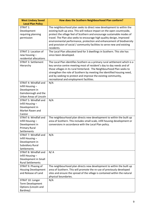| <b>West Lindsey Saved</b>                                                                          | How does the Scothern Neighbourhood Plan conform?                                                                                                                                                                                                                                                                                                                                                                                                                                                                                                    |
|----------------------------------------------------------------------------------------------------|------------------------------------------------------------------------------------------------------------------------------------------------------------------------------------------------------------------------------------------------------------------------------------------------------------------------------------------------------------------------------------------------------------------------------------------------------------------------------------------------------------------------------------------------------|
| <b>Local Plan Policy</b>                                                                           |                                                                                                                                                                                                                                                                                                                                                                                                                                                                                                                                                      |
| STRAT 1:<br>Development<br>requiring planning<br>permission<br>STRAT 2: Location of                | The neighbourhood plan seeks to direct new development to within the<br>existing built up area. This will reduce impact on the open countryside,<br>protect the village feel of Scothern and encourage sustainable modes of<br>travel. The Plan also seeks to encourage high quality design, improved<br>environmental performance, protection and enhancement of biodiversity<br>and provision of social / community facilities to serve new and existing<br>residents.<br>The Local Plan allocated land for 3 dwellings in Scothern. This site has |
| new housing -<br>residential allocations                                                           | since been developed.                                                                                                                                                                                                                                                                                                                                                                                                                                                                                                                                |
| <b>STRAT 3: Settlement</b><br>Hierarchy                                                            | The Local Plan identifies Scothern as a primary rural settlement which is a<br>key service centre meeting most of resident's day to day needs and of<br>those villages in its rural hinterland. The Neighbourhood Plan seeks to<br>strengthen the role of Scothern by meeting the identified housing need,<br>and by seeking to protect and improve the existing community,<br>recreational and employment facilities.                                                                                                                               |
| STRAT 4: Windfall and                                                                              | N/A                                                                                                                                                                                                                                                                                                                                                                                                                                                                                                                                                  |
| Infill Housing-<br>Development in<br>Gainsborough and the                                          |                                                                                                                                                                                                                                                                                                                                                                                                                                                                                                                                                      |
| Urban Areas of Lincoln                                                                             |                                                                                                                                                                                                                                                                                                                                                                                                                                                                                                                                                      |
| <b>STRAT 5: Windfall and</b>                                                                       | N/A                                                                                                                                                                                                                                                                                                                                                                                                                                                                                                                                                  |
| Infill Housing-                                                                                    |                                                                                                                                                                                                                                                                                                                                                                                                                                                                                                                                                      |
| Development in                                                                                     |                                                                                                                                                                                                                                                                                                                                                                                                                                                                                                                                                      |
| Market Rasen and                                                                                   |                                                                                                                                                                                                                                                                                                                                                                                                                                                                                                                                                      |
| Caistor                                                                                            |                                                                                                                                                                                                                                                                                                                                                                                                                                                                                                                                                      |
| STRAT 6: Windfall and<br>Infill Housing -<br>Development in<br><b>Primary Rural</b><br>Settlements | The neighbourhood plan directs new development to within the built up<br>area of Scothern. This includes small scale, infill housing development or<br>conversions in accordance with the Local Plan policy.                                                                                                                                                                                                                                                                                                                                         |
| STRAT 7: Windfall and                                                                              | N/A                                                                                                                                                                                                                                                                                                                                                                                                                                                                                                                                                  |
| Infill Housing-<br>Development in                                                                  |                                                                                                                                                                                                                                                                                                                                                                                                                                                                                                                                                      |
| <b>Subsidiary Rural</b><br>Settlements                                                             |                                                                                                                                                                                                                                                                                                                                                                                                                                                                                                                                                      |
| STRAT 8: Windfall and                                                                              | N/A                                                                                                                                                                                                                                                                                                                                                                                                                                                                                                                                                  |
| Infill Housing-                                                                                    |                                                                                                                                                                                                                                                                                                                                                                                                                                                                                                                                                      |
| Development in Small                                                                               |                                                                                                                                                                                                                                                                                                                                                                                                                                                                                                                                                      |
| <b>Rural Settlements</b>                                                                           |                                                                                                                                                                                                                                                                                                                                                                                                                                                                                                                                                      |
| STRAT 9: Phasing of                                                                                | The neighbourhood plan directs new development to within the built up                                                                                                                                                                                                                                                                                                                                                                                                                                                                                |
| <b>Housing Development</b>                                                                         | area of Scothern. This will promote the re-use of previously developed                                                                                                                                                                                                                                                                                                                                                                                                                                                                               |
| and Release of Land                                                                                | sites and ensure the spread of the village is contained within the natural                                                                                                                                                                                                                                                                                                                                                                                                                                                                           |
|                                                                                                    | physical boundaries.                                                                                                                                                                                                                                                                                                                                                                                                                                                                                                                                 |
| STRAT 10: Longer                                                                                   | N/A                                                                                                                                                                                                                                                                                                                                                                                                                                                                                                                                                  |
| Term Development                                                                                   |                                                                                                                                                                                                                                                                                                                                                                                                                                                                                                                                                      |
| Options (Lincoln and                                                                               |                                                                                                                                                                                                                                                                                                                                                                                                                                                                                                                                                      |
| Bardney)                                                                                           |                                                                                                                                                                                                                                                                                                                                                                                                                                                                                                                                                      |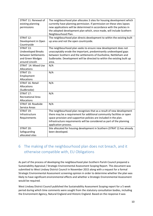| STRAT 11: Renewal of      | The neighbourhood plan allocates 3 sites for housing development which   |
|---------------------------|--------------------------------------------------------------------------|
| existing planning         | currently have planning permission. If permission on these sites lapses  |
| permissions               | new applications will be determined in accordance with the policies in   |
|                           | the adopted development plan which, once made, will include Scothern     |
|                           | Neighbourhood Plan.                                                      |
| STRAT 12:                 | The neighbourhood plan directs development to within the existing built  |
| Development in Open       | up area and not the open countryside.                                    |
| Countryside               |                                                                          |
| STRAT 13:                 | The neighbourhood plan seeks to ensure new development does not          |
| <b>Undeveloped Breaks</b> | unacceptably erode the important, predominantly undeveloped gaps         |
| between Settlements       | between Scothern and the settlements of Dunholme, Nettleham and          |
| and Green Wedges          | Sudbrooke. Development will be directed to within the existing built up  |
| around Lincoln            | area.                                                                    |
| STRAT 14: Mixed Use       | N/A                                                                      |
| Allocations               |                                                                          |
| STRAT 15:                 | N/A                                                                      |
| Employment                |                                                                          |
| Allocations               |                                                                          |
| STRAT 16: Retail          | N/A                                                                      |
| Allocations               |                                                                          |
| (Sudbrooke)               |                                                                          |
| STRAT 17:                 | N/A                                                                      |
| <b>Recreational Area</b>  |                                                                          |
| Allocations               |                                                                          |
| STRAT 18: Roadside        | N/A                                                                      |
| Service Areas             |                                                                          |
| STRAT 19:                 | The neighbourhood plan recognises that as a result of new development    |
| Infrastructure            | there may be a requirement for additional community facilities or open   |
| Requirements              | space provision and supportive policies are included in the plan.        |
|                           | Infrastructure requirements will be considered as part of the planning   |
|                           | application process.                                                     |
| STRAT 20:                 | Site allocated for housing development in Scothern (STRAT 2) has already |
| Safeguarding              | been developed.                                                          |
| allocated sites           |                                                                          |

#### <span id="page-9-0"></span>6 The making of the neighbourhood plan does not breach, and it otherwise compatible with, EU Obligations

As part of the process of developing the neighbourhood plan Scothern Parish Council prepared a Sustainability Appraisal / Strategic Environmental Assessment Scoping Report. This document was submitted to West Lindsey District Council in November 2015 along with a request for a formal Strategic Environmental Assessment screening opinion in order to determine whether the plan was likely to have significant environmental effects and whether a Strategic Environmental Assessment would be required.

West Lindsey District Council published the Sustainability Assessment Scoping report for a 5 week period during which time comments were sought from the statutory consultation bodies, including the Environment Agency, Natural England and Historic England. Based on the response it was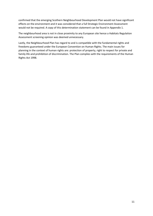confirmed that the emerging Scothern Neighbourhood Development Plan would not have significant effects on the environment and it was considered that a full Strategic Environment Assessment would not be required. A copy of this determination statement can be found in Appendix 1.

The neighbourhood area is not in close proximity to any European site hence a Habitats Regulation Assessment screening opinion was deemed unnecessary.

Lastly, the Neighbourhood Plan has regard to and is compatible with the fundamental rights and freedoms guaranteed under the European Convention on Human Rights. The main issues for planning in the context of human rights are: protection of property, right to respect for private and family life and prohibition of discrimination. The Plan complies with the requirements of the Human Rights Act 1998.